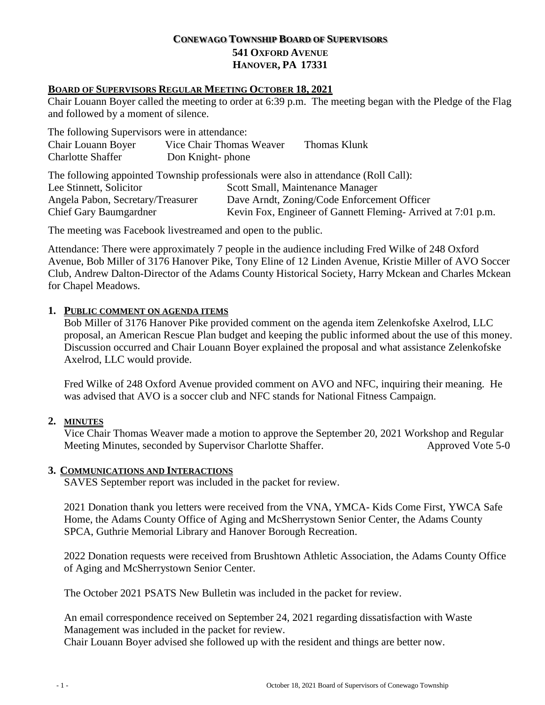# **CONEWAGO TOWNSHIP BOARD OF SUPERVISORS 541 OXFORD AVENUE HANOVER, PA 17331**

#### **BOARD OF SUPERVISORS REGULAR MEETING OCTOBER 18, 2021**

Chair Louann Boyer called the meeting to order at 6:39 p.m. The meeting began with the Pledge of the Flag and followed by a moment of silence.

The following Supervisors were in attendance:

|  | Chair Louann Boyer<br><b>Charlotte Shaffer</b>                                                | Don Knight-phone | Vice Chair Thomas Weaver                                    | Thomas Klunk |  |
|--|-----------------------------------------------------------------------------------------------|------------------|-------------------------------------------------------------|--------------|--|
|  | The following appointed Township professionals were also in attendance (Roll Call):           |                  |                                                             |              |  |
|  | Lee Stinnett, Solicitor<br>Angela Pabon, Secretary/Treasurer<br><b>Chief Gary Baumgardner</b> |                  | Scott Small, Maintenance Manager                            |              |  |
|  |                                                                                               |                  | Dave Arndt, Zoning/Code Enforcement Officer                 |              |  |
|  |                                                                                               |                  | Kevin Fox, Engineer of Gannett Fleming-Arrived at 7:01 p.m. |              |  |

The meeting was Facebook livestreamed and open to the public.

Attendance: There were approximately 7 people in the audience including Fred Wilke of 248 Oxford Avenue, Bob Miller of 3176 Hanover Pike, Tony Eline of 12 Linden Avenue, Kristie Miller of AVO Soccer Club, Andrew Dalton-Director of the Adams County Historical Society, Harry Mckean and Charles Mckean for Chapel Meadows.

## **1. PUBLIC COMMENT ON AGENDA ITEMS**

Bob Miller of 3176 Hanover Pike provided comment on the agenda item Zelenkofske Axelrod, LLC proposal, an American Rescue Plan budget and keeping the public informed about the use of this money. Discussion occurred and Chair Louann Boyer explained the proposal and what assistance Zelenkofske Axelrod, LLC would provide.

Fred Wilke of 248 Oxford Avenue provided comment on AVO and NFC, inquiring their meaning. He was advised that AVO is a soccer club and NFC stands for National Fitness Campaign.

## **2. MINUTES**

Vice Chair Thomas Weaver made a motion to approve the September 20, 2021 Workshop and Regular Meeting Minutes, seconded by Supervisor Charlotte Shaffer. Approved Vote 5-0

#### **3. COMMUNICATIONS AND INTERACTIONS**

SAVES September report was included in the packet for review.

2021 Donation thank you letters were received from the VNA, YMCA- Kids Come First, YWCA Safe Home, the Adams County Office of Aging and McSherrystown Senior Center, the Adams County SPCA, Guthrie Memorial Library and Hanover Borough Recreation.

2022 Donation requests were received from Brushtown Athletic Association, the Adams County Office of Aging and McSherrystown Senior Center.

The October 2021 PSATS New Bulletin was included in the packet for review.

An email correspondence received on September 24, 2021 regarding dissatisfaction with Waste Management was included in the packet for review.

Chair Louann Boyer advised she followed up with the resident and things are better now.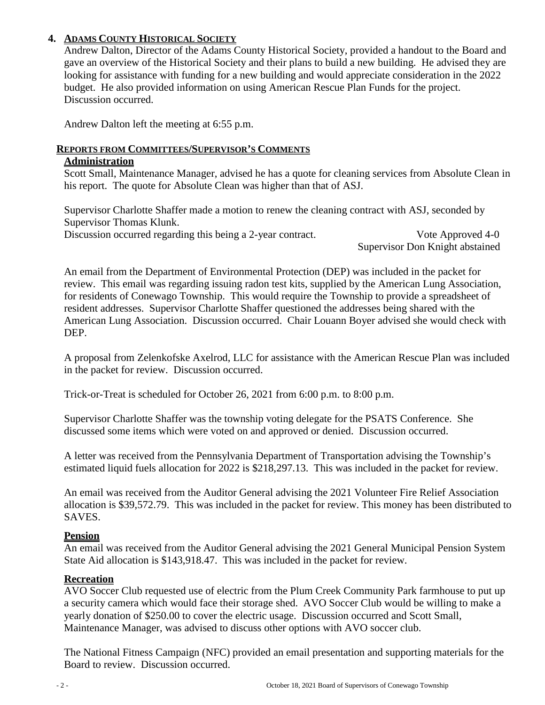# **4. ADAMS COUNTY HISTORICAL SOCIETY**

Andrew Dalton, Director of the Adams County Historical Society, provided a handout to the Board and gave an overview of the Historical Society and their plans to build a new building. He advised they are looking for assistance with funding for a new building and would appreciate consideration in the 2022 budget. He also provided information on using American Rescue Plan Funds for the project. Discussion occurred.

Andrew Dalton left the meeting at 6:55 p.m.

## **REPORTS FROM COMMITTEES/SUPERVISOR'S COMMENTS**

## **Administration**

Scott Small, Maintenance Manager, advised he has a quote for cleaning services from Absolute Clean in his report. The quote for Absolute Clean was higher than that of ASJ.

Supervisor Charlotte Shaffer made a motion to renew the cleaning contract with ASJ, seconded by Supervisor Thomas Klunk.

Discussion occurred regarding this being a 2-year contract. Vote Approved 4-0

Supervisor Don Knight abstained

An email from the Department of Environmental Protection (DEP) was included in the packet for review. This email was regarding issuing radon test kits, supplied by the American Lung Association, for residents of Conewago Township. This would require the Township to provide a spreadsheet of resident addresses. Supervisor Charlotte Shaffer questioned the addresses being shared with the American Lung Association. Discussion occurred. Chair Louann Boyer advised she would check with DEP.

A proposal from Zelenkofske Axelrod, LLC for assistance with the American Rescue Plan was included in the packet for review. Discussion occurred.

Trick-or-Treat is scheduled for October 26, 2021 from 6:00 p.m. to 8:00 p.m.

Supervisor Charlotte Shaffer was the township voting delegate for the PSATS Conference. She discussed some items which were voted on and approved or denied. Discussion occurred.

A letter was received from the Pennsylvania Department of Transportation advising the Township's estimated liquid fuels allocation for 2022 is \$218,297.13. This was included in the packet for review.

An email was received from the Auditor General advising the 2021 Volunteer Fire Relief Association allocation is \$39,572.79. This was included in the packet for review. This money has been distributed to SAVES.

## **Pension**

An email was received from the Auditor General advising the 2021 General Municipal Pension System State Aid allocation is \$143,918.47. This was included in the packet for review.

## **Recreation**

AVO Soccer Club requested use of electric from the Plum Creek Community Park farmhouse to put up a security camera which would face their storage shed. AVO Soccer Club would be willing to make a yearly donation of \$250.00 to cover the electric usage. Discussion occurred and Scott Small, Maintenance Manager, was advised to discuss other options with AVO soccer club.

The National Fitness Campaign (NFC) provided an email presentation and supporting materials for the Board to review. Discussion occurred.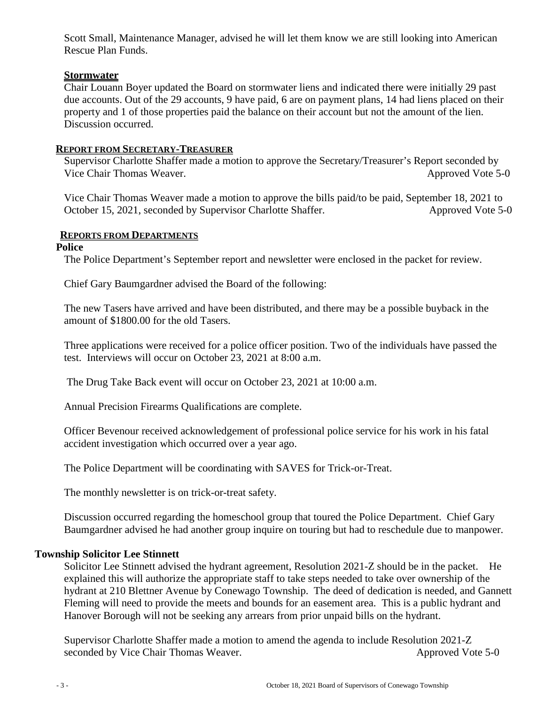Scott Small, Maintenance Manager, advised he will let them know we are still looking into American Rescue Plan Funds.

### **Stormwater**

Chair Louann Boyer updated the Board on stormwater liens and indicated there were initially 29 past due accounts. Out of the 29 accounts, 9 have paid, 6 are on payment plans, 14 had liens placed on their property and 1 of those properties paid the balance on their account but not the amount of the lien. Discussion occurred.

### **REPORT FROM SECRETARY-TREASURER**

Supervisor Charlotte Shaffer made a motion to approve the Secretary/Treasurer's Report seconded by Vice Chair Thomas Weaver. Approved Vote 5-0

Vice Chair Thomas Weaver made a motion to approve the bills paid/to be paid, September 18, 2021 to October 15, 2021, seconded by Supervisor Charlotte Shaffer. Approved Vote 5-0

## **REPORTS FROM DEPARTMENTS**

#### **Police**

The Police Department's September report and newsletter were enclosed in the packet for review.

Chief Gary Baumgardner advised the Board of the following:

The new Tasers have arrived and have been distributed, and there may be a possible buyback in the amount of \$1800.00 for the old Tasers.

Three applications were received for a police officer position. Two of the individuals have passed the test. Interviews will occur on October 23, 2021 at 8:00 a.m.

The Drug Take Back event will occur on October 23, 2021 at 10:00 a.m.

Annual Precision Firearms Qualifications are complete.

Officer Bevenour received acknowledgement of professional police service for his work in his fatal accident investigation which occurred over a year ago.

The Police Department will be coordinating with SAVES for Trick-or-Treat.

The monthly newsletter is on trick-or-treat safety.

Discussion occurred regarding the homeschool group that toured the Police Department. Chief Gary Baumgardner advised he had another group inquire on touring but had to reschedule due to manpower.

#### **Township Solicitor Lee Stinnett**

Solicitor Lee Stinnett advised the hydrant agreement, Resolution 2021-Z should be in the packet. He explained this will authorize the appropriate staff to take steps needed to take over ownership of the hydrant at 210 Blettner Avenue by Conewago Township. The deed of dedication is needed, and Gannett Fleming will need to provide the meets and bounds for an easement area. This is a public hydrant and Hanover Borough will not be seeking any arrears from prior unpaid bills on the hydrant.

Supervisor Charlotte Shaffer made a motion to amend the agenda to include Resolution 2021-Z seconded by Vice Chair Thomas Weaver. Approved Vote 5-0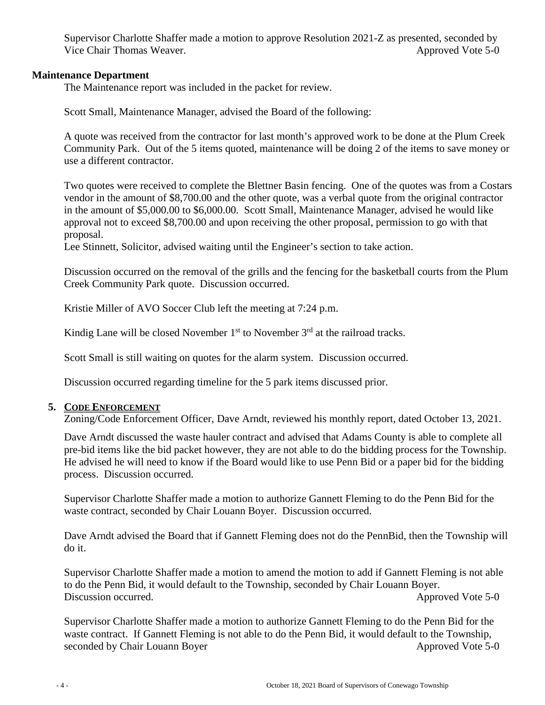Supervisor Charlotte Shaffer made a motion to approve Resolution 2021-Z as presented, seconded by Vice Chair Thomas Weaver. Approved Vote 5-0

## **Maintenance Department**

The Maintenance report was included in the packet for review.

Scott Small, Maintenance Manager, advised the Board of the following:

A quote was received from the contractor for last month's approved work to be done at the Plum Creek Community Park. Out of the 5 items quoted, maintenance will be doing 2 of the items to save money or use a different contractor.

Two quotes were received to complete the Blettner Basin fencing. One of the quotes was from a Costars vendor in the amount of \$8,700.00 and the other quote, was a verbal quote from the original contractor in the amount of \$5,000.00 to \$6,000.00. Scott Small, Maintenance Manager, advised he would like approval not to exceed \$8,700.00 and upon receiving the other proposal, permission to go with that proposal.

Lee Stinnett, Solicitor, advised waiting until the Engineer's section to take action.

Discussion occurred on the removal of the grills and the fencing for the basketball courts from the Plum Creek Community Park quote. Discussion occurred.

Kristie Miller of AVO Soccer Club left the meeting at 7:24 p.m.

Kindig Lane will be closed November  $1<sup>st</sup>$  to November  $3<sup>rd</sup>$  at the railroad tracks.

Scott Small is still waiting on quotes for the alarm system. Discussion occurred.

Discussion occurred regarding timeline for the 5 park items discussed prior.

#### **5. CODE ENFORCEMENT**

Zoning/Code Enforcement Officer, Dave Arndt, reviewed his monthly report, dated October 13, 2021.

Dave Arndt discussed the waste hauler contract and advised that Adams County is able to complete all pre-bid items like the bid packet however, they are not able to do the bidding process for the Township. He advised he will need to know if the Board would like to use Penn Bid or a paper bid for the bidding process. Discussion occurred.

Supervisor Charlotte Shaffer made a motion to authorize Gannett Fleming to do the Penn Bid for the waste contract, seconded by Chair Louann Boyer. Discussion occurred.

Dave Arndt advised the Board that if Gannett Fleming does not do the PennBid, then the Township will do it.

Supervisor Charlotte Shaffer made a motion to amend the motion to add if Gannett Fleming is not able to do the Penn Bid, it would default to the Township, seconded by Chair Louann Boyer. Discussion occurred. Approved Vote 5-0

Supervisor Charlotte Shaffer made a motion to authorize Gannett Fleming to do the Penn Bid for the waste contract. If Gannett Fleming is not able to do the Penn Bid, it would default to the Township, seconded by Chair Louann Boyer Approved Vote 5-0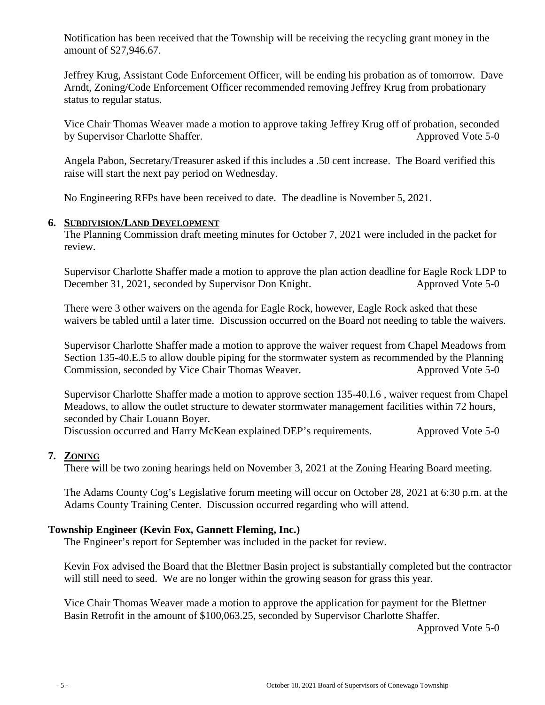Notification has been received that the Township will be receiving the recycling grant money in the amount of \$27,946.67.

Jeffrey Krug, Assistant Code Enforcement Officer, will be ending his probation as of tomorrow. Dave Arndt, Zoning/Code Enforcement Officer recommended removing Jeffrey Krug from probationary status to regular status.

Vice Chair Thomas Weaver made a motion to approve taking Jeffrey Krug off of probation, seconded by Supervisor Charlotte Shaffer. Approved Vote 5-0

Angela Pabon, Secretary/Treasurer asked if this includes a .50 cent increase. The Board verified this raise will start the next pay period on Wednesday.

No Engineering RFPs have been received to date. The deadline is November 5, 2021.

## **6. SUBDIVISION/LAND DEVELOPMENT**

The Planning Commission draft meeting minutes for October 7, 2021 were included in the packet for review.

Supervisor Charlotte Shaffer made a motion to approve the plan action deadline for Eagle Rock LDP to December 31, 2021, seconded by Supervisor Don Knight. Approved Vote 5-0

There were 3 other waivers on the agenda for Eagle Rock, however, Eagle Rock asked that these waivers be tabled until a later time. Discussion occurred on the Board not needing to table the waivers.

Supervisor Charlotte Shaffer made a motion to approve the waiver request from Chapel Meadows from Section 135-40.E.5 to allow double piping for the stormwater system as recommended by the Planning Commission, seconded by Vice Chair Thomas Weaver. Approved Vote 5-0

Supervisor Charlotte Shaffer made a motion to approve section 135-40.I.6 , waiver request from Chapel Meadows, to allow the outlet structure to dewater stormwater management facilities within 72 hours, seconded by Chair Louann Boyer.

Discussion occurred and Harry McKean explained DEP's requirements. Approved Vote 5-0

## **7. ZONING**

There will be two zoning hearings held on November 3, 2021 at the Zoning Hearing Board meeting.

The Adams County Cog's Legislative forum meeting will occur on October 28, 2021 at 6:30 p.m. at the Adams County Training Center. Discussion occurred regarding who will attend.

### **Township Engineer (Kevin Fox, Gannett Fleming, Inc.)**

The Engineer's report for September was included in the packet for review.

Kevin Fox advised the Board that the Blettner Basin project is substantially completed but the contractor will still need to seed. We are no longer within the growing season for grass this year.

Vice Chair Thomas Weaver made a motion to approve the application for payment for the Blettner Basin Retrofit in the amount of \$100,063.25, seconded by Supervisor Charlotte Shaffer.

Approved Vote 5-0